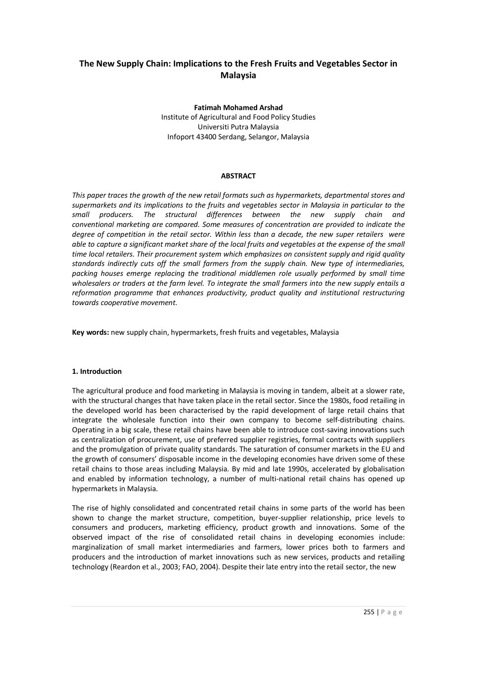# **The New Supply Chain: Implications to the Fresh Fruits and Vegetables Sector in Malaysia**

## **Fatimah Mohamed Arshad** Institute of Agricultural and Food Policy Studies Universiti Putra Malaysia Infoport 43400 Serdang, Selangor, Malaysia

# **ABSTRACT**

*This paper traces the growth of the new retail formats such as hypermarkets, departmental stores and supermarkets and its implications to the fruits and vegetables sector in Malaysia in particular to the small producers. The structural differences between the new supply chain and conventional marketing are compared. Some measures of concentration are provided to indicate the degree of competition in the retail sector. Within less than a decade, the new super retailers were able to capture a significant market share of the local fruits and vegetables at the expense of the small time local retailers. Their procurement system which emphasizes on consistent supply and rigid quality standards indirectly cuts off the small farmers from the supply chain. New type of intermediaries, packing houses emerge replacing the traditional middlemen role usually performed by small time wholesalers or traders at the farm level. To integrate the small farmers into the new supply entails a reformation programme that enhances productivity, product quality and institutional restructuring towards cooperative movement.*

**Key words:** new supply chain, hypermarkets, fresh fruits and vegetables, Malaysia

## **1. Introduction**

The agricultural produce and food marketing in Malaysia is moving in tandem, albeit at a slower rate, with the structural changes that have taken place in the retail sector. Since the 1980s, food retailing in the developed world has been characterised by the rapid development of large retail chains that integrate the wholesale function into their own company to become self-distributing chains. Operating in a big scale, these retail chains have been able to introduce cost-saving innovations such as centralization of procurement, use of preferred supplier registries, formal contracts with suppliers and the promulgation of private quality standards. The saturation of consumer markets in the EU and the growth of consumers' disposable income in the developing economies have driven some of these retail chains to those areas including Malaysia. By mid and late 1990s, accelerated by globalisation and enabled by information technology, a number of multi-national retail chains has opened up hypermarkets in Malaysia.

The rise of highly consolidated and concentrated retail chains in some parts of the world has been shown to change the market structure, competition, buyer-supplier relationship, price levels to consumers and producers, marketing efficiency, product growth and innovations. Some of the observed impact of the rise of consolidated retail chains in developing economies include: marginalization of small market intermediaries and farmers, lower prices both to farmers and producers and the introduction of market innovations such as new services, products and retailing technology (Reardon et al., 2003; FAO, 2004). Despite their late entry into the retail sector, the new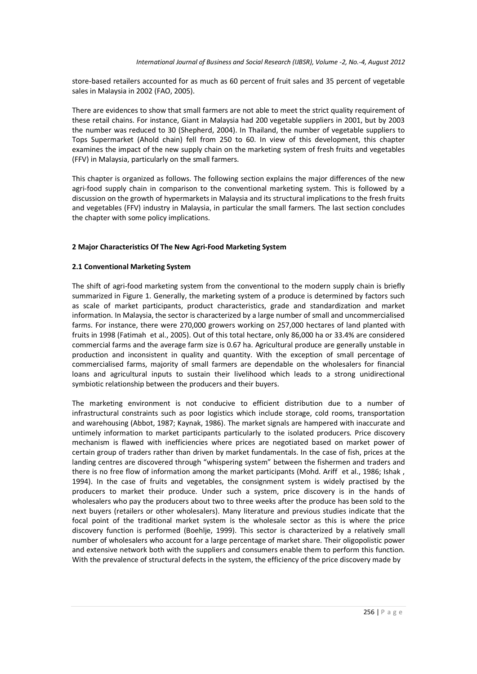store-based retailers accounted for as much as 60 percent of fruit sales and 35 percent of vegetable sales in Malaysia in 2002 (FAO, 2005).

There are evidences to show that small farmers are not able to meet the strict quality requirement of these retail chains. For instance, Giant in Malaysia had 200 vegetable suppliers in 2001, but by 2003 the number was reduced to 30 (Shepherd, 2004). In Thailand, the number of vegetable suppliers to Tops Supermarket (Ahold chain) fell from 250 to 60. In view of this development, this chapter examines the impact of the new supply chain on the marketing system of fresh fruits and vegetables (FFV) in Malaysia, particularly on the small farmers.

This chapter is organized as follows. The following section explains the major differences of the new agri-food supply chain in comparison to the conventional marketing system. This is followed by a discussion on the growth of hypermarkets in Malaysia and its structural implications to the fresh fruits and vegetables (FFV) industry in Malaysia, in particular the small farmers. The last section concludes the chapter with some policy implications.

# **2 Major Characteristics Of The New Agri-Food Marketing System**

## **2.1 Conventional Marketing System**

The shift of agri-food marketing system from the conventional to the modern supply chain is briefly summarized in Figure 1. Generally, the marketing system of a produce is determined by factors such as scale of market participants, product characteristics, grade and standardization and market information. In Malaysia, the sector is characterized by a large number of small and uncommercialised farms. For instance, there were 270,000 growers working on 257,000 hectares of land planted with fruits in 1998 (Fatimah et al., 2005). Out of this total hectare, only 86,000 ha or 33.4% are considered commercial farms and the average farm size is 0.67 ha. Agricultural produce are generally unstable in production and inconsistent in quality and quantity. With the exception of small percentage of commercialised farms, majority of small farmers are dependable on the wholesalers for financial loans and agricultural inputs to sustain their livelihood which leads to a strong unidirectional symbiotic relationship between the producers and their buyers.

The marketing environment is not conducive to efficient distribution due to a number of infrastructural constraints such as poor logistics which include storage, cold rooms, transportation and warehousing (Abbot, 1987; Kaynak, 1986). The market signals are hampered with inaccurate and untimely information to market participants particularly to the isolated producers. Price discovery mechanism is flawed with inefficiencies where prices are negotiated based on market power of certain group of traders rather than driven by market fundamentals. In the case of fish, prices at the landing centres are discovered through "whispering system" between the fishermen and traders and there is no free flow of information among the market participants (Mohd. Ariff et al., 1986; Ishak , 1994). In the case of fruits and vegetables, the consignment system is widely practised by the producers to market their produce. Under such a system, price discovery is in the hands of wholesalers who pay the producers about two to three weeks after the produce has been sold to the next buyers (retailers or other wholesalers). Many literature and previous studies indicate that the focal point of the traditional market system is the wholesale sector as this is where the price discovery function is performed (Boehlje, 1999). This sector is characterized by a relatively small number of wholesalers who account for a large percentage of market share. Their oligopolistic power and extensive network both with the suppliers and consumers enable them to perform this function. With the prevalence of structural defects in the system, the efficiency of the price discovery made by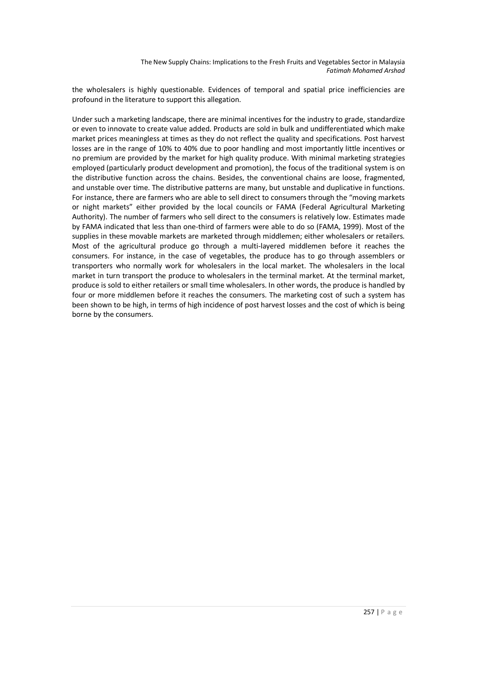the wholesalers is highly questionable. Evidences of temporal and spatial price inefficiencies are profound in the literature to support this allegation.

Under such a marketing landscape, there are minimal incentives for the industry to grade, standardize or even to innovate to create value added. Products are sold in bulk and undifferentiated which make market prices meaningless at times as they do not reflect the quality and specifications. Post harvest losses are in the range of 10% to 40% due to poor handling and most importantly little incentives or no premium are provided by the market for high quality produce. With minimal marketing strategies employed (particularly product development and promotion), the focus of the traditional system is on the distributive function across the chains. Besides, the conventional chains are loose, fragmented, and unstable over time. The distributive patterns are many, but unstable and duplicative in functions. For instance, there are farmers who are able to sell direct to consumers through the "moving markets or night markets" either provided by the local councils or FAMA (Federal Agricultural Marketing Authority). The number of farmers who sell direct to the consumers is relatively low. Estimates made by FAMA indicated that less than one-third of farmers were able to do so (FAMA, 1999). Most of the supplies in these movable markets are marketed through middlemen; either wholesalers or retailers. Most of the agricultural produce go through a multi-layered middlemen before it reaches the consumers. For instance, in the case of vegetables, the produce has to go through assemblers or transporters who normally work for wholesalers in the local market. The wholesalers in the local market in turn transport the produce to wholesalers in the terminal market. At the terminal market, produce is sold to either retailers or small time wholesalers. In other words, the produce is handled by four or more middlemen before it reaches the consumers. The marketing cost of such a system has been shown to be high, in terms of high incidence of post harvest losses and the cost of which is being borne by the consumers.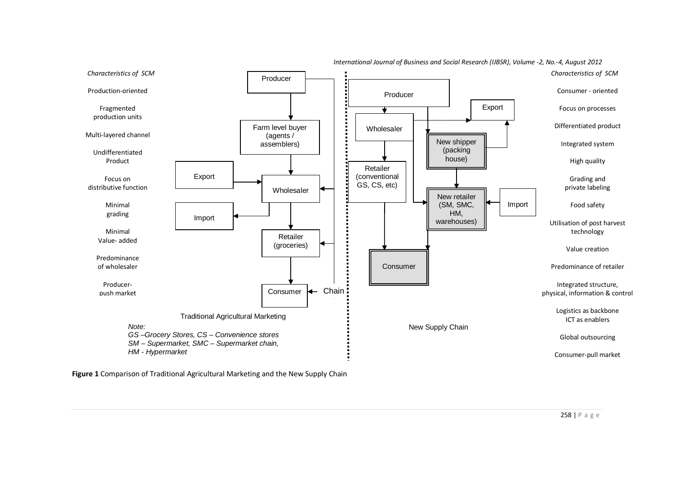

*International Journal of Business and Social Research (IJBSR), Volume -2, No.-4, August 2012*

**Figure 1** Comparison of Traditional Agricultural Marketing and the New Supply Chain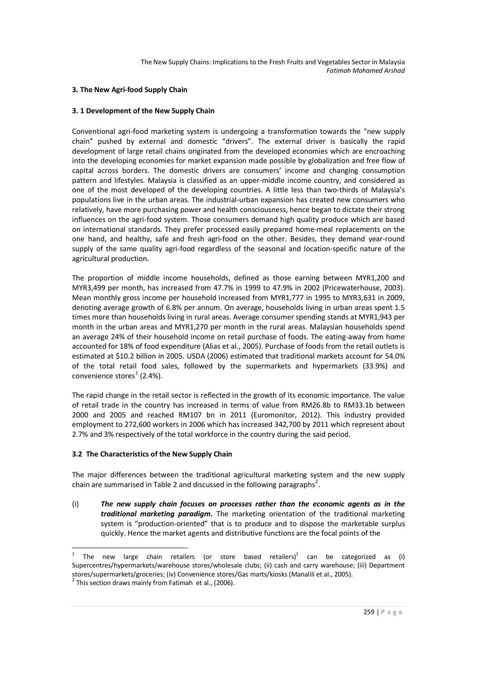#### **3. The New Agri-food Supply Chain**

#### **3. 1 Development of the New Supply Chain**

Conventional agri-food marketing system is undergoing a transformation towards the "new supply chain" pushed by external and domestic "drivers". The external driver is basically the rapid development of large retail chains originated from the developed economies which are encroaching into the developing economies for market expansion made possible by globalization and free flow of capital across borders. The domestic drivers are consumers' income and changing consumption pattern and lifestyles. Malaysia is classified as an upper-middle income country, and considered as one of the most developed of the developing countries. A little less than two-thirds of Malaysia's populations live in the urban areas. The industrial-urban expansion has created new consumers who relatively, have more purchasing power and health consciousness, hence began to dictate their strong influences on the agri-food system. Those consumers demand high quality produce which are based on international standards. They prefer processed easily prepared home-meal replacements on the one hand, and healthy, safe and fresh agri-food on the other. Besides, they demand year-round supply of the same quality agri-food regardless of the seasonal and location-specific nature of the agricultural production.

The proportion of middle income households, defined as those earning between MYR1,200 and MYR3,499 per month, has increased from 47.7% in 1999 to 47.9% in 2002 (Pricewaterhouse, 2003). Mean monthly gross income per household increased from MYR1,777 in 1995 to MYR3,631 in 2009, denoting average growth of 6.8% per annum. On average, households living in urban areas spent 1.5 times more than households living in rural areas. Average consumer spending stands at MYR1,943 per month in the urban areas and MYR1,270 per month in the rural areas. Malaysian households spend an average 24% of their household income on retail purchase of foods. The eating-away from home accounted for 18% of food expenditure (Alias et al., 2005). Purchase of foods from the retail outlets is estimated at \$10.2 billion in 2005. USDA (2006) estimated that traditional markets account for 54.0% of the total retail food sales, followed by the supermarkets and hypermarkets (33.9%) and convenience stores $<sup>1</sup>$  $<sup>1</sup>$  $<sup>1</sup>$  (2.4%).</sup>

The rapid change in the retail sector is reflected in the growth of its economic importance. The value of retail trade in the country has increased in terms of value from RM26.8b to RM33.1b between 2000 and 2005 and reached RM107 bn in 2011 (Euromonitor, 2012). This industry provided employment to 272,600 workers in 2006 which has increased 342,700 by 2011 which represent about 2.7% and 3% respectively of the total workforce in the country during the said period.

## **3.2 The Characteristics of the New Supply Chain**

The major differences between the traditional agricultural marketing system and the new supply chain are summarised i[n Table 2](#page-5-0) and discussed in the following paragraphs<sup>[2](#page-4-1)</sup>.

(i) *The new supply chain focuses on processes rather than the economic agents as in the traditional marketing paradigm***.** The marketing orientation of the traditional marketing system is "production-oriented" that is to produce and to dispose the marketable surplus quickly. Hence the market agents and distributive functions are the focal points of the

<span id="page-4-1"></span><span id="page-4-0"></span>The new large chain retailers (or store based retailers) $1$  can be categorized as (i) Supercentres/hypermarkets/warehouse stores/wholesale clubs; (ii) cash and carry warehouse; (iii) Department stores/supermarkets/groceries; (iv) Convenience stores/Gas marts/kiosks (Manalili et al., 2005).  $2$  This section draws mainly from Fatimah et al., (2006).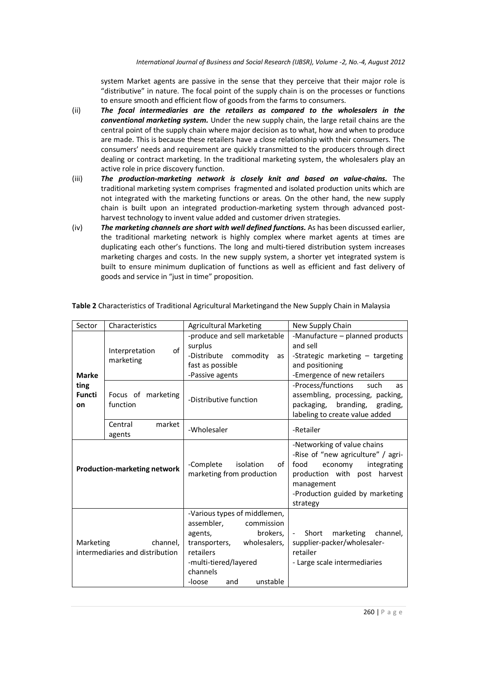system Market agents are passive in the sense that they perceive that their major role is "distributive" in nature. The focal point of the supply chain is on the processes or functions to ensure smooth and efficient flow of goods from the farms to consumers.

- (ii) *The focal intermediaries are the retailers as compared to the wholesalers in the conventional marketing system.* Under the new supply chain, the large retail chains are the central point of the supply chain where major decision as to what, how and when to produce are made. This is because these retailers have a close relationship with their consumers. The consumers' needs and requirement are quickly transmitted to the producers through direct dealing or contract marketing. In the traditional marketing system, the wholesalers play an active role in price discovery function.
- (iii) *The production-marketing network is closely knit and based on value-chains.* The traditional marketing system comprises fragmented and isolated production units which are not integrated with the marketing functions or areas. On the other hand, the new supply chain is built upon an integrated production-marketing system through advanced postharvest technology to invent value added and customer driven strategies.
- (iv) *The marketing channels are short with well defined functions.* As has been discussed earlier, the traditional marketing network is highly complex where market agents at times are duplicating each other's functions. The long and multi-tiered distribution system increases marketing charges and costs. In the new supply system, a shorter yet integrated system is built to ensure minimum duplication of functions as well as efficient and fast delivery of goods and service in "just in time" proposition.

| Sector                      | Characteristics                             | <b>Agricultural Marketing</b>                                                                                                                                                                   | New Supply Chain                                                                                                                                                                                 |
|-----------------------------|---------------------------------------------|-------------------------------------------------------------------------------------------------------------------------------------------------------------------------------------------------|--------------------------------------------------------------------------------------------------------------------------------------------------------------------------------------------------|
| <b>Marke</b>                | of<br>Interpretation<br>marketing           | -produce and sell marketable<br>surplus<br>-Distribute commodity<br>as<br>fast as possible<br>-Passive agents                                                                                   | -Manufacture - planned products<br>and sell<br>-Strategic marketing - targeting<br>and positioning<br>-Emergence of new retailers                                                                |
| ting<br><b>Functi</b><br>on | Focus of marketing<br>function              | -Distributive function                                                                                                                                                                          | -Process/functions<br>such<br>as<br>assembling, processing, packing,<br>packaging,<br>branding,<br>grading,<br>labeling to create value added                                                    |
|                             | market<br>Central<br>agents                 | -Wholesaler                                                                                                                                                                                     | -Retailer                                                                                                                                                                                        |
|                             | Production-marketing network                | -Complete<br>isolation<br>of<br>marketing from production                                                                                                                                       | -Networking of value chains<br>-Rise of "new agriculture" / agri-<br>food<br>economy<br>integrating<br>production with post harvest<br>management<br>-Production guided by marketing<br>strategy |
| Marketing                   | channel,<br>intermediaries and distribution | -Various types of middlemen,<br>assembler,<br>commission<br>brokers,<br>agents,<br>transporters,<br>wholesalers,<br>retailers<br>-multi-tiered/layered<br>channels<br>unstable<br>-loose<br>and | Short<br>marketing<br>channel,<br>$\overline{\phantom{a}}$<br>supplier-packer/wholesaler-<br>retailer<br>- Large scale intermediaries                                                            |

<span id="page-5-0"></span>**Table 2** Characteristics of Traditional Agricultural Marketingand the New Supply Chain in Malaysia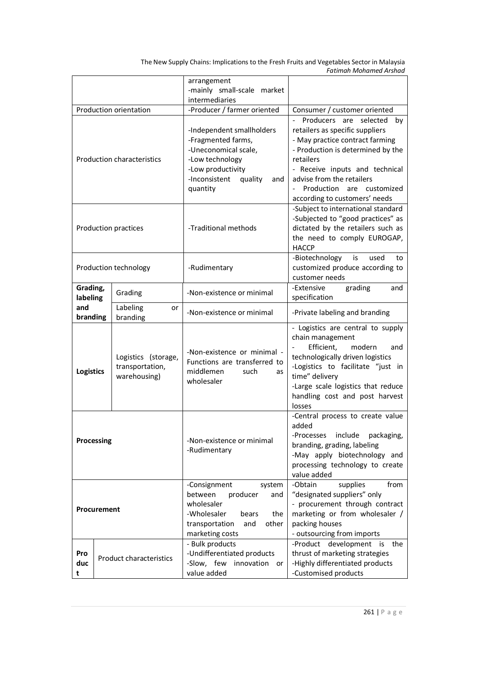|                                   |                         |                                                        | arrangement<br>-mainly small-scale market<br>intermediaries                                                                                                    |                                                                                                                                                                                                                                                                                   |  |  |
|-----------------------------------|-------------------------|--------------------------------------------------------|----------------------------------------------------------------------------------------------------------------------------------------------------------------|-----------------------------------------------------------------------------------------------------------------------------------------------------------------------------------------------------------------------------------------------------------------------------------|--|--|
| Production orientation            |                         |                                                        | -Producer / farmer oriented                                                                                                                                    | Consumer / customer oriented                                                                                                                                                                                                                                                      |  |  |
| <b>Production characteristics</b> |                         |                                                        | -Independent smallholders<br>-Fragmented farms,<br>-Uneconomical scale,<br>-Low technology<br>-Low productivity<br>-Inconsistent<br>quality<br>and<br>quantity | Producers are selected<br>bv<br>retailers as specific suppliers<br>- May practice contract farming<br>- Production is determined by the<br>retailers<br>- Receive inputs and technical<br>advise from the retailers<br>Production are customized<br>according to customers' needs |  |  |
|                                   |                         | Production practices                                   | -Traditional methods                                                                                                                                           | -Subject to international standard<br>-Subjected to "good practices" as<br>dictated by the retailers such as<br>the need to comply EUROGAP,<br><b>HACCP</b>                                                                                                                       |  |  |
|                                   |                         | Production technology                                  | -Rudimentary                                                                                                                                                   | -Biotechnology<br>used<br>is<br>to<br>customized produce according to<br>customer needs                                                                                                                                                                                           |  |  |
| Grading,<br>labeling              |                         | Grading                                                | -Non-existence or minimal                                                                                                                                      | -Extensive<br>grading<br>and<br>specification                                                                                                                                                                                                                                     |  |  |
| and<br>branding                   |                         | Labeling<br>or<br>branding                             | -Non-existence or minimal                                                                                                                                      | -Private labeling and branding                                                                                                                                                                                                                                                    |  |  |
| <b>Logistics</b>                  |                         | Logistics (storage,<br>transportation,<br>warehousing) | -Non-existence or minimal -<br>Functions are transferred to<br>middlemen<br>such<br>as<br>wholesaler                                                           | - Logistics are central to supply<br>chain management<br>Efficient,<br>modern<br>and<br>technologically driven logistics<br>-Logistics to facilitate "just in<br>time" delivery<br>-Large scale logistics that reduce<br>handling cost and post harvest<br>losses                 |  |  |
| Processing                        |                         |                                                        | -Non-existence or minimal<br>-Rudimentary                                                                                                                      | -Central process to create value<br>added<br>-Processes<br>include<br>packaging,<br>branding, grading, labeling<br>-May apply biotechnology and<br>processing technology to create<br>value added                                                                                 |  |  |
| Procurement                       |                         |                                                        | -Consignment<br>system<br>between<br>producer<br>and<br>wholesaler<br>-Wholesaler<br>the<br>bears<br>transportation<br>other<br>and<br>marketing costs         | -Obtain<br>supplies<br>from<br>"designated suppliers" only<br>- procurement through contract<br>marketing or from wholesaler /<br>packing houses<br>- outsourcing from imports                                                                                                    |  |  |
| Pro<br>duc<br>t                   | Product characteristics |                                                        | - Bulk products<br>-Undifferentiated products<br>-Slow, few innovation or<br>value added                                                                       | -Product development is the<br>thrust of marketing strategies<br>-Highly differentiated products<br>-Customised products                                                                                                                                                          |  |  |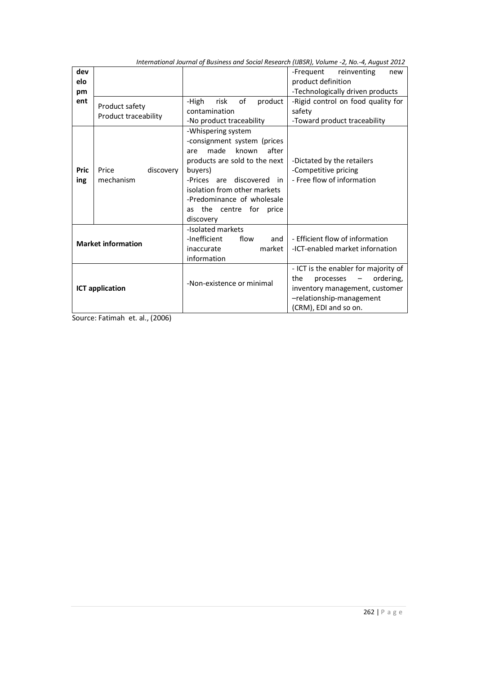|                    |                                        |                                                                                                                                                                                                                                                                   | $m$ . The compact $\sim$ compact $\sim$ compact $\sim$ compact $\sim$ compact $\sim$ compact $\sim$ compact $\sim$                                          |
|--------------------|----------------------------------------|-------------------------------------------------------------------------------------------------------------------------------------------------------------------------------------------------------------------------------------------------------------------|-------------------------------------------------------------------------------------------------------------------------------------------------------------|
| dev<br>elo<br>pm   |                                        |                                                                                                                                                                                                                                                                   | -Frequent<br>reinventing<br>new<br>product definition<br>-Technologically driven products                                                                   |
| ent                | Product safety<br>Product traceability | of<br>product<br>-High<br>risk<br>contamination<br>-No product traceability                                                                                                                                                                                       | -Rigid control on food quality for<br>safety<br>-Toward product traceability                                                                                |
| <b>Pric</b><br>ing | discovery<br>Price<br>mechanism        | -Whispering system<br>-consignment system (prices<br>after<br>made<br>known<br>are<br>products are sold to the next<br>buyers)<br>-Prices are discovered in<br>isolation from other markets<br>-Predominance of wholesale<br>as the centre for price<br>discovery | -Dictated by the retailers<br>-Competitive pricing<br>- Free flow of information                                                                            |
|                    | <b>Market information</b>              | -Isolated markets<br>-Inefficient<br>flow<br>and<br>market<br>inaccurate<br>information                                                                                                                                                                           | - Efficient flow of information<br>-ICT-enabled market infornation                                                                                          |
|                    | <b>ICT application</b>                 | -Non-existence or minimal                                                                                                                                                                                                                                         | - ICT is the enabler for majority of<br>the<br>processes – ordering,<br>inventory management, customer<br>-relationship-management<br>(CRM), EDI and so on. |

*International Journal of Business and Social Research (IJBSR), Volume -2, No.-4, August 2012*

Source: Fatimah et. al., (2006)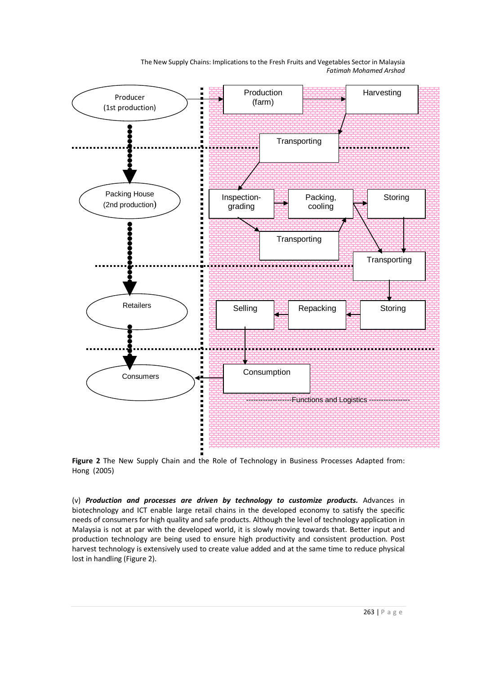

<span id="page-8-0"></span>

(v) *Production and processes are driven by technology to customize products.* Advances in biotechnology and ICT enable large retail chains in the developed economy to satisfy the specific needs of consumers for high quality and safe products. Although the level of technology application in Malaysia is not at par with the developed world, it is slowly moving towards that. Better input and production technology are being used to ensure high productivity and consistent production. Post harvest technology is extensively used to create value added and at the same time to reduce physical lost in handling [\(Figure 2\)](#page-8-0).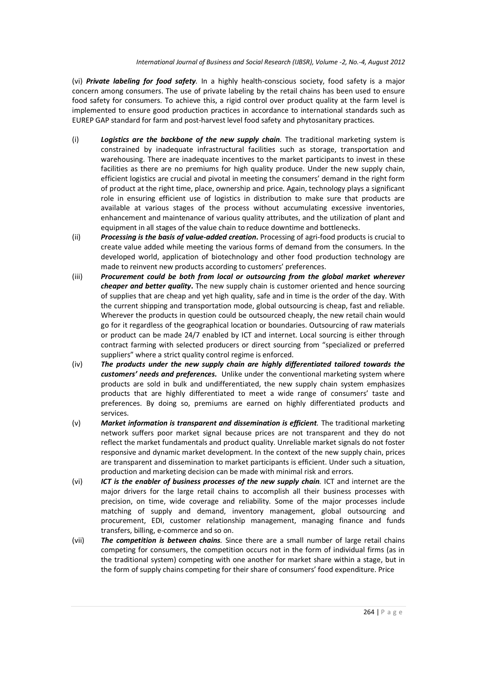*International Journal of Business and Social Research (IJBSR), Volume -2, No.-4, August 2012*

(vi) *Private labeling for food safety.* In a highly health-conscious society, food safety is a major concern among consumers. The use of private labeling by the retail chains has been used to ensure food safety for consumers. To achieve this, a rigid control over product quality at the farm level is implemented to ensure good production practices in accordance to international standards such as EUREP GAP standard for farm and post-harvest level food safety and phytosanitary practices.

- (i) *Logistics are the backbone of the new supply chain.* The traditional marketing system is constrained by inadequate infrastructural facilities such as storage, transportation and warehousing. There are inadequate incentives to the market participants to invest in these facilities as there are no premiums for high quality produce. Under the new supply chain, efficient logistics are crucial and pivotal in meeting the consumers' demand in the right form of product at the right time, place, ownership and price. Again, technology plays a significant role in ensuring efficient use of logistics in distribution to make sure that products are available at various stages of the process without accumulating excessive inventories, enhancement and maintenance of various quality attributes, and the utilization of plant and equipment in all stages of the value chain to reduce downtime and bottlenecks.
- (ii) *Processing is the basis of value-added creation***.** Processing of agri-food products is crucial to create value added while meeting the various forms of demand from the consumers. In the developed world, application of biotechnology and other food production technology are made to reinvent new products according to customers' preferences.
- (iii) *Procurement could be both from local or outsourcing from the global market wherever cheaper and better quality***.** The new supply chain is customer oriented and hence sourcing of supplies that are cheap and yet high quality, safe and in time is the order of the day. With the current shipping and transportation mode, global outsourcing is cheap, fast and reliable. Wherever the products in question could be outsourced cheaply, the new retail chain would go for it regardless of the geographical location or boundaries. Outsourcing of raw materials or product can be made 24/7 enabled by ICT and internet. Local sourcing is either through contract farming with selected producers or direct sourcing from "specialized or preferred suppliers" where a strict quality control regime is enforced.
- (iv) *The products under the new supply chain are highly differentiated tailored towards the customers' needs and preferences.* Unlike under the conventional marketing system where products are sold in bulk and undifferentiated, the new supply chain system emphasizes products that are highly differentiated to meet a wide range of consumers' taste and preferences. By doing so, premiums are earned on highly differentiated products and services.
- (v) *Market information is transparent and dissemination is efficient.* The traditional marketing network suffers poor market signal because prices are not transparent and they do not reflect the market fundamentals and product quality. Unreliable market signals do not foster responsive and dynamic market development. In the context of the new supply chain, prices are transparent and dissemination to market participants is efficient. Under such a situation, production and marketing decision can be made with minimal risk and errors.
- (vi) *ICT is the enabler of business processes of the new supply chain.* ICT and internet are the major drivers for the large retail chains to accomplish all their business processes with precision, on time, wide coverage and reliability. Some of the major processes include matching of supply and demand, inventory management, global outsourcing and procurement, EDI, customer relationship management, managing finance and funds transfers, billing, e-commerce and so on.
- (vii) *The competition is between chains.* Since there are a small number of large retail chains competing for consumers, the competition occurs not in the form of individual firms (as in the traditional system) competing with one another for market share within a stage, but in the form of supply chains competing for their share of consumers' food expenditure. Price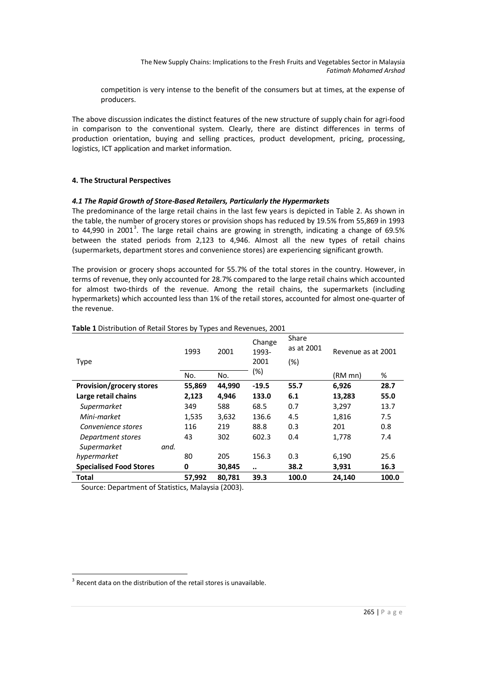competition is very intense to the benefit of the consumers but at times, at the expense of producers.

The above discussion indicates the distinct features of the new structure of supply chain for agri-food in comparison to the conventional system. Clearly, there are distinct differences in terms of production orientation, buying and selling practices, product development, pricing, processing, logistics, ICT application and market information.

# **4. The Structural Perspectives**

## *4.1 The Rapid Growth of Store-Based Retailers, Particularly the Hypermarkets*

The predominance of the large retail chains in the last few years is depicted in Table 2. As shown in the table, the number of grocery stores or provision shops has reduced by 19.5% from 55,869 in 1993 to 44,990 in 2001<sup>[3](#page-10-0)</sup>. The large retail chains are growing in strength, indicating a change of 69.5% between the stated periods from 2,123 to 4,946. Almost all the new types of retail chains (supermarkets, department stores and convenience stores) are experiencing significant growth.

The provision or grocery shops accounted for 55.7% of the total stores in the country. However, in terms of revenue, they only accounted for 28.7% compared to the large retail chains which accounted for almost two-thirds of the revenue. Among the retail chains, the supermarkets (including hypermarkets) which accounted less than 1% of the retail stores, accounted for almost one-quarter of the revenue.

| <b>Type</b>                     |      | 1993   | Change<br>2001<br>1993-<br>2001 |               | Share<br>as at 2001<br>$(\%)$ | Revenue as at 2001 |       |
|---------------------------------|------|--------|---------------------------------|---------------|-------------------------------|--------------------|-------|
|                                 |      | No.    | No.                             | (%)           |                               | (RM mn)            | %     |
| <b>Provision/grocery stores</b> |      | 55,869 | 44,990                          | $-19.5$       | 55.7                          | 6,926              | 28.7  |
| Large retail chains             |      | 2,123  | 4,946                           | 133.0         | 6.1                           | 13,283             | 55.0  |
| Supermarket                     |      | 349    | 588                             | 68.5          | 0.7                           | 3,297              | 13.7  |
| Mini-market                     |      | 1,535  | 3,632                           | 136.6         | 4.5                           | 1,816              | 7.5   |
| Convenience stores              |      | 116    | 219                             | 88.8          | 0.3                           | 201                | 0.8   |
| Department stores               |      | 43     | 302                             | 602.3         | 0.4                           | 1,778              | 7.4   |
| Supermarket                     | and. |        |                                 |               |                               |                    |       |
| hypermarket                     |      | 80     | 205                             | 156.3         | 0.3                           | 6,190              | 25.6  |
| <b>Specialised Food Stores</b>  |      | 0      | 30,845                          | $\cdot \cdot$ | 38.2                          | 3,931              | 16.3  |
| <b>Total</b>                    |      | 57,992 | 80,781                          | 39.3          | 100.0                         | 24,140             | 100.0 |

#### **Table 1** Distribution of Retail Stores by Types and Revenues, 2001

Source: Department of Statistics, Malaysia (2003).

<span id="page-10-0"></span> $3$  Recent data on the distribution of the retail stores is unavailable.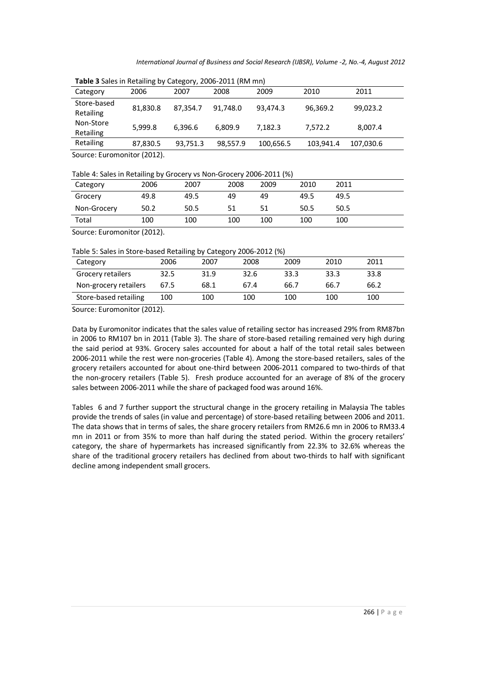| Category                               | 2006     | 2007     | 2008     | 2009      | 2010      | 2011      |  |  |
|----------------------------------------|----------|----------|----------|-----------|-----------|-----------|--|--|
| Store-based<br>Retailing               | 81,830.8 | 87.354.7 | 91.748.0 | 93.474.3  | 96,369.2  | 99,023.2  |  |  |
| Non-Store<br>Retailing                 | 5,999.8  | 6,396.6  | 6.809.9  | 7,182.3   | 7,572.2   | 8,007.4   |  |  |
| Retailing                              | 87,830.5 | 93,751.3 | 98,557.9 | 100,656.5 | 103,941.4 | 107,030.6 |  |  |
| $C_{\text{outrow}}$ $U_{\text{inorm}}$ |          |          |          |           |           |           |  |  |

**Table 3** Sales in Retailing by Category, 2006-2011 (RM mn)

Source: Euromonitor (2012).

| Table 4: Sales in Retailing by Grocery vs Non-Grocery 2006-2011 (%) |  |
|---------------------------------------------------------------------|--|
|---------------------------------------------------------------------|--|

| Category    | 2006 | 2007 | 2008 | 2009 | 2010 | 2011 |  |
|-------------|------|------|------|------|------|------|--|
| Grocery     | 49.8 | 49.5 | 49   | 49   | 49.5 | 49.5 |  |
| Non-Grocery | 50.2 | 50.5 | 51   |      | 50.5 | 50.5 |  |
| Total       | 100  | 100  | 100  | 100  | 100  | 100  |  |

Source: Euromonitor (2012).

#### Table 5: Sales in Store-based Retailing by Category 2006-2012 (%)

| Category              | 2006 | 2007 | 2008 | 2009 | 2010 | 2011 |  |
|-----------------------|------|------|------|------|------|------|--|
| Grocery retailers     | 32.5 | 31.9 | 32.6 | 33.3 | 33.3 | 33.8 |  |
| Non-grocery retailers | 67.5 | 68.1 | 67.4 | 66.7 | 66.7 | 66.2 |  |
| Store-based retailing | 100  | 100  | 100  | 100  | 100  | 100  |  |
| .                     |      |      |      |      |      |      |  |

Source: Euromonitor (2012).

Data by Euromonitor indicates that the sales value of retailing sector has increased 29% from RM87bn in 2006 to RM107 bn in 2011 (Table 3). The share of store-based retailing remained very high during the said period at 93%. Grocery sales accounted for about a half of the total retail sales between 2006-2011 while the rest were non-groceries (Table 4). Among the store-based retailers, sales of the grocery retailers accounted for about one-third between 2006-2011 compared to two-thirds of that the non-grocery retailers (Table 5). Fresh produce accounted for an average of 8% of the grocery sales between 2006-2011 while the share of packaged food was around 16%.

Tables 6 and 7 further support the structural change in the grocery retailing in Malaysia The tables provide the trends of sales (in value and percentage) of store-based retailing between 2006 and 2011. The data shows that in terms of sales, the share grocery retailers from RM26.6 mn in 2006 to RM33.4 mn in 2011 or from 35% to more than half during the stated period. Within the grocery retailers' category, the share of hypermarkets has increased significantly from 22.3% to 32.6% whereas the share of the traditional grocery retailers has declined from about two-thirds to half with significant decline among independent small grocers.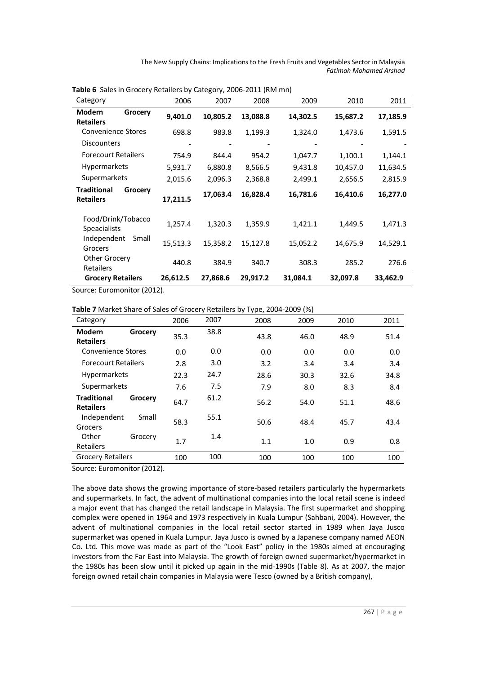| Category                                          | 2006     | 2007     | 2008     | 2009     | 2010     | 2011     |
|---------------------------------------------------|----------|----------|----------|----------|----------|----------|
| <b>Modern</b><br>Grocery<br><b>Retailers</b>      | 9,401.0  | 10,805.2 | 13,088.8 | 14,302.5 | 15,687.2 | 17,185.9 |
| <b>Convenience Stores</b>                         | 698.8    | 983.8    | 1,199.3  | 1,324.0  | 1,473.6  | 1,591.5  |
| <b>Discounters</b>                                |          |          |          |          |          |          |
| <b>Forecourt Retailers</b>                        | 754.9    | 844.4    | 954.2    | 1,047.7  | 1,100.1  | 1,144.1  |
| <b>Hypermarkets</b>                               | 5,931.7  | 6,880.8  | 8,566.5  | 9,431.8  | 10,457.0 | 11,634.5 |
| Supermarkets                                      | 2,015.6  | 2,096.3  | 2,368.8  | 2,499.1  | 2,656.5  | 2,815.9  |
| <b>Traditional</b><br>Grocery<br><b>Retailers</b> | 17,211.5 | 17,063.4 | 16,828.4 | 16,781.6 | 16,410.6 | 16,277.0 |
| Food/Drink/Tobacco<br><b>Speacialists</b>         | 1,257.4  | 1,320.3  | 1,359.9  | 1,421.1  | 1,449.5  | 1,471.3  |
| Independent<br>Small<br>Grocers                   | 15,513.3 | 15,358.2 | 15,127.8 | 15,052.2 | 14,675.9 | 14,529.1 |
| <b>Other Grocery</b><br>Retailers                 | 440.8    | 384.9    | 340.7    | 308.3    | 285.2    | 276.6    |
| <b>Grocery Retailers</b>                          | 26,612.5 | 27,868.6 | 29,917.2 | 31,084.1 | 32,097.8 | 33,462.9 |

**Table 6** Sales in Grocery Retailers by Category, 2006-2011 (RM mn)

Source: Euromonitor (2012).

**Table 7** Market Share of Sales of Grocery Retailers by Type, 2004-2009 (%)

| Category                               |                | 2006 | 2007 | 2008 | 2009 | 2010 | 2011 |
|----------------------------------------|----------------|------|------|------|------|------|------|
| <b>Modern</b><br><b>Retailers</b>      | <b>Grocery</b> | 35.3 | 38.8 | 43.8 | 46.0 | 48.9 | 51.4 |
| <b>Convenience Stores</b>              |                | 0.0  | 0.0  | 0.0  | 0.0  | 0.0  | 0.0  |
| <b>Forecourt Retailers</b>             |                | 2.8  | 3.0  | 3.2  | 3.4  | 3.4  | 3.4  |
| <b>Hypermarkets</b>                    |                | 22.3 | 24.7 | 28.6 | 30.3 | 32.6 | 34.8 |
| Supermarkets                           |                | 7.6  | 7.5  | 7.9  | 8.0  | 8.3  | 8.4  |
| <b>Traditional</b><br><b>Retailers</b> | Grocery        | 64.7 | 61.2 | 56.2 | 54.0 | 51.1 | 48.6 |
| Independent<br>Grocers                 | Small          | 58.3 | 55.1 | 50.6 | 48.4 | 45.7 | 43.4 |
| Other<br>Retailers                     | Grocery        | 1.7  | 1.4  | 1.1  | 1.0  | 0.9  | 0.8  |
| <b>Grocery Retailers</b>               |                | 100  | 100  | 100  | 100  | 100  | 100  |

Source: Euromonitor (2012).

The above data shows the growing importance of store-based retailers particularly the hypermarkets and supermarkets. In fact, the advent of multinational companies into the local retail scene is indeed a major event that has changed the retail landscape in Malaysia. The first supermarket and shopping complex were opened in 1964 and 1973 respectively in Kuala Lumpur (Sahbani, 2004). However, the advent of multinational companies in the local retail sector started in 1989 when Jaya Jusco supermarket was opened in Kuala Lumpur. Jaya Jusco is owned by a Japanese company named AEON Co. Ltd. This move was made as part of the "Look East" policy in the 1980s aimed at encouraging investors from the Far East into Malaysia. The growth of foreign owned supermarket/hypermarket in the 1980s has been slow until it picked up again in the mid-1990s (Table 8). As at 2007, the major foreign owned retail chain companies in Malaysia were Tesco (owned by a British company),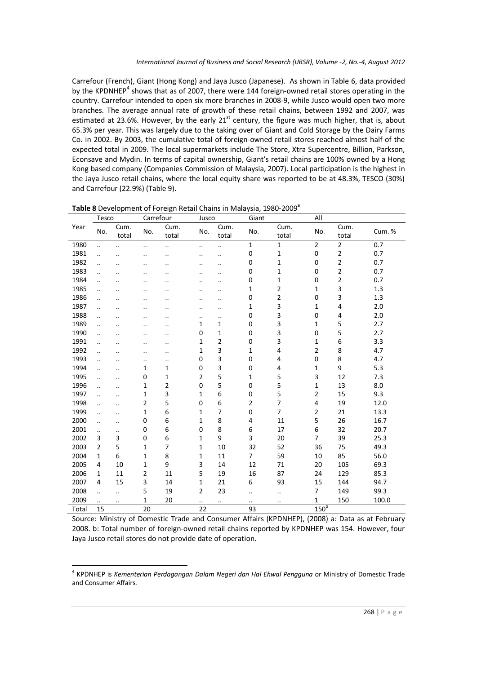Carrefour (French), Giant (Hong Kong) and Jaya Jusco (Japanese). As shown in Table 6, data provided by the KPDNHEP $4$  shows that as of 2007, there were 144 foreign-owned retail stores operating in the country. Carrefour intended to open six more branches in 2008-9, while Jusco would open two more branches. The average annual rate of growth of these retail chains, between 1992 and 2007, was estimated at 23.6%. However, by the early  $21^{st}$  century, the figure was much higher, that is, about and Carrefour (22.9%) (Table 9). 65.3% per year. This was largely due to the taking over of Giant and Cold Storage by the Dairy Farms Co. in 2002. By 2003, the cumulative total of foreign-owned retail stores reached almost half of the expected total in 2009. The local supermarkets include The Store, Xtra Supercentre, Billion, Parkson, Econsave and Mydin. In terms of capital ownership, Giant's retail chains are 100% owned by a Hong Kong based company (Companies Commission of Malaysia, 2007). Local participation is the highest in the Jaya Jusco retail chains, where the local equity share was reported to be at 48.3%, TESCO (30%)

|       | Tesco                |                      | Carrefour            |                      | Jusco                |                      | Giant                |                | All              |                |        |
|-------|----------------------|----------------------|----------------------|----------------------|----------------------|----------------------|----------------------|----------------|------------------|----------------|--------|
| Year  | No.                  | Cum.<br>total        | No.                  | Cum.<br>total        | No.                  | Cum.<br>total        | No.                  | Cum.<br>total  | No.              | Cum.<br>total  | Cum. % |
| 1980  | $\ddot{\phantom{0}}$ |                      | $\ddotsc$            | $\ddot{\phantom{0}}$ | $\ldots$             | $\ddot{\phantom{0}}$ | $\mathbf 1$          | $\mathbf{1}$   | $\overline{2}$   | $\overline{2}$ | 0.7    |
| 1981  | $\ddot{\phantom{0}}$ |                      |                      |                      | $\ddotsc$            |                      | 0                    | $\mathbf{1}$   | $\mathbf 0$      | 2              | 0.7    |
| 1982  |                      |                      |                      |                      | $\cdot$ .            |                      | 0                    | 1              | 0                | $\overline{2}$ | 0.7    |
| 1983  |                      |                      |                      |                      |                      |                      | 0                    | 1              | $\mathbf 0$      | 2              | 0.7    |
| 1984  |                      |                      | $\ddot{\phantom{0}}$ | $\cdot$ $\cdot$      | $\cdot$ .            |                      | 0                    | 1              | $\mathbf 0$      | 2              | 0.7    |
| 1985  |                      |                      | $\ddot{\phantom{0}}$ | $\cdot$ $\cdot$      | $\ddotsc$            |                      | $\mathbf 1$          | 2              | $\mathbf 1$      | 3              | 1.3    |
| 1986  |                      |                      |                      |                      | $\cdot$ .            |                      | 0                    | 2              | $\mathbf 0$      | 3              | 1.3    |
| 1987  |                      |                      |                      |                      | $\ddotsc$            |                      | $\mathbf 1$          | 3              | 1                | 4              | 2.0    |
| 1988  |                      |                      |                      |                      | $\ddot{\phantom{0}}$ | $\ddot{\phantom{0}}$ | 0                    | 3              | $\mathbf 0$      | 4              | 2.0    |
| 1989  |                      |                      | $\cdot$ .            | $\cdot$ .            | 1                    | 1                    | 0                    | 3              | 1                | 5              | 2.7    |
| 1990  | $\ddot{\phantom{0}}$ | $\ddot{\phantom{0}}$ | $\ddot{\phantom{0}}$ | $\ddot{\phantom{0}}$ | 0                    | 1                    | 0                    | 3              | $\Omega$         | 5              | 2.7    |
| 1991  | $\ddot{\phantom{0}}$ |                      |                      | $\ddot{\phantom{0}}$ | 1                    | 2                    | 0                    | 3              | $\mathbf{1}$     | 6              | 3.3    |
| 1992  | $\ddot{\phantom{0}}$ |                      |                      |                      | 1                    | 3                    | $\mathbf{1}$         | 4              | 2                | 8              | 4.7    |
| 1993  | $\ddot{\phantom{0}}$ |                      |                      | $\ddotsc$            | 0                    | 3                    | 0                    | 4              | $\mathbf 0$      | 8              | 4.7    |
| 1994  |                      |                      | 1                    | $\mathbf{1}$         | 0                    | 3                    | 0                    | 4              | $\mathbf{1}$     | 9              | 5.3    |
| 1995  | $\ddot{\phantom{a}}$ |                      | 0                    | $\mathbf{1}$         | $\overline{2}$       | 5                    | $\mathbf 1$          | 5              | 3                | 12             | 7.3    |
| 1996  | $\ddot{\phantom{0}}$ | $\ddot{\phantom{0}}$ | 1                    | $\mathbf 2$          | 0                    | 5                    | 0                    | 5              | $\mathbf{1}$     | 13             | 8.0    |
| 1997  |                      |                      | 1                    | 3                    | $\mathbf{1}$         | 6                    | $\pmb{0}$            | 5              | 2                | 15             | 9.3    |
| 1998  | $\ddot{\phantom{0}}$ |                      | 2                    | 5                    | 0                    | 6                    | $\overline{2}$       | $\overline{7}$ | $\overline{4}$   | 19             | 12.0   |
| 1999  | $\ddot{\phantom{0}}$ | $\ddotsc$            | 1                    | 6                    | 1                    | 7                    | 0                    | $\overline{7}$ | 2                | 21             | 13.3   |
| 2000  | $\ddot{\phantom{0}}$ |                      | $\mathbf 0$          | 6                    | $\mathbf{1}$         | 8                    | 4                    | 11             | 5                | 26             | 16.7   |
| 2001  | $\ddot{\phantom{0}}$ | $\ddot{\phantom{0}}$ | $\mathbf 0$          | 6                    | 0                    | 8                    | 6                    | 17             | 6                | 32             | 20.7   |
| 2002  | 3                    | 3                    | $\mathbf 0$          | 6                    | $\mathbf{1}$         | 9                    | 3                    | 20             | $\overline{7}$   | 39             | 25.3   |
| 2003  | $\overline{2}$       | 5                    | 1                    | 7                    | 1                    | 10                   | 32                   | 52             | 36               | 75             | 49.3   |
| 2004  | 1                    | 6                    | 1                    | 8                    | 1                    | 11                   | $\overline{7}$       | 59             | 10               | 85             | 56.0   |
| 2005  | 4                    | 10                   | 1                    | 9                    | 3                    | 14                   | 12                   | 71             | 20               | 105            | 69.3   |
| 2006  | $\mathbf 1$          | 11                   | 2                    | 11                   | 5                    | 19                   | 16                   | 87             | 24               | 129            | 85.3   |
| 2007  | 4                    | 15                   | 3                    | 14                   | 1                    | 21                   | 6                    | 93             | 15               | 144            | 94.7   |
| 2008  | $\ddot{\phantom{0}}$ | $\ddotsc$            | 5                    | 19                   | $\overline{2}$       | 23                   | $\ddot{\phantom{0}}$ | $\ddotsc$      | 7                | 149            | 99.3   |
| 2009  |                      |                      | 1                    | 20                   | $\ddotsc$            | $\ddotsc$            | $\ddotsc$            | $\ddotsc$      | $\mathbf{1}$     | 150            | 100.0  |
| Total | 15                   |                      | 20                   |                      | 22                   |                      | 93                   |                | 150 <sup>b</sup> |                |        |

Source: Ministry of Domestic Trade and Consumer Affairs (KPDNHEP), (2008) a: Data as at February 2008. b: Total number of foreign-owned retail chains reported by KPDNHEP was 154. However, four Jaya Jusco retail stores do not provide date of operation.

<span id="page-13-0"></span><sup>4</sup> KPDNHEP is *Kementerian Perdagangan Dalam Negeri dan Hal Ehwal Pengguna* or Ministry of Domestic Trade and Consumer Affairs.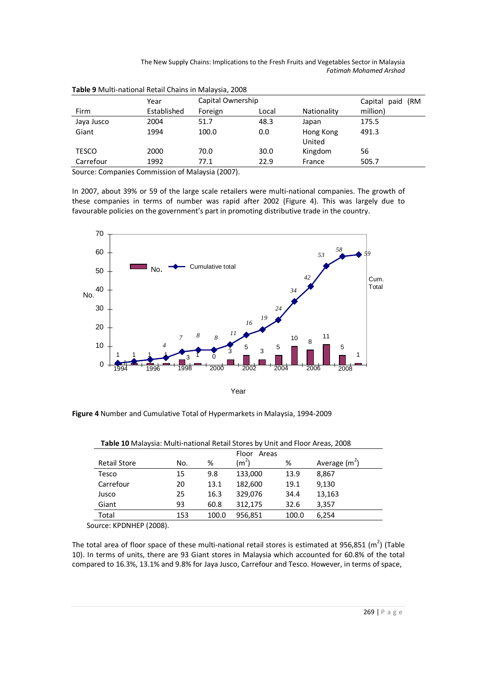|              | Year        | Capital Ownership | (RM<br>paid<br>Capital |                     |          |
|--------------|-------------|-------------------|------------------------|---------------------|----------|
| Firm         | Established | Foreign           | Local                  | Nationality         | million) |
| Jaya Jusco   | 2004        | 51.7              | 48.3                   | Japan               | 175.5    |
| Giant        | 1994        | 100.0             | 0.0                    | Hong Kong<br>United | 491.3    |
| <b>TESCO</b> | 2000        | 70.0              | 30.0                   | Kingdom             | 56       |
| Carrefour    | 1992        | 77.1              | 22.9                   | France              | 505.7    |

**Table 9** Multi-national Retail Chains in Malaysia, 2008

Source: Companies Commission of Malaysia (2007).

In 2007, about 39% or 59 of the large scale retailers were multi-national companies. The growth of these companies in terms of number was rapid after 2002 (Figure 4). This was largely due to favourable policies on the government's part in promoting distributive trade in the country.



Year

## **Figure 4** Number and Cumulative Total of Hypermarkets in Malaysia, 1994-2009

| <b>Table 10</b> Malaysia: Multi-national Retail Stores by Unit and Floor Areas, 2008 |     |       |                   |       |                 |  |
|--------------------------------------------------------------------------------------|-----|-------|-------------------|-------|-----------------|--|
|                                                                                      |     |       | Floor<br>Areas    |       |                 |  |
| <b>Retail Store</b>                                                                  | No. | %     | (m <sup>2</sup> ) | %     | Average $(m^2)$ |  |
| Tesco                                                                                | 15  | 9.8   | 133,000           | 13.9  | 8,867           |  |
| Carrefour                                                                            | 20  | 13.1  | 182,600           | 19.1  | 9,130           |  |
| Jusco                                                                                | 25  | 16.3  | 329,076           | 34.4  | 13,163          |  |
| Giant                                                                                | 93  | 60.8  | 312.175           | 32.6  | 3,357           |  |
| Total                                                                                | 153 | 100.0 | 956,851           | 100.0 | 6,254           |  |

Source: KPDNHEP (2008).

The total area of floor space of these multi-national retail stores is estimated at 956,851 (m<sup>2</sup>) (Table 10). In terms of units, there are 93 Giant stores in Malaysia which accounted for 60.8% of the total compared to 16.3%, 13.1% and 9.8% for Jaya Jusco, Carrefour and Tesco. However, in terms of space,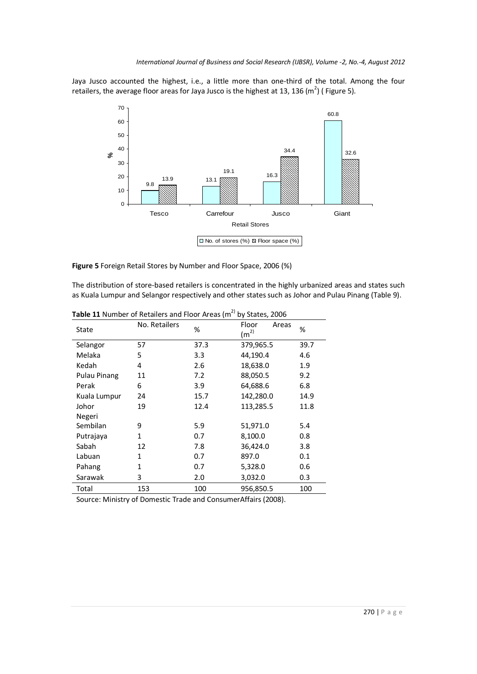Jaya Jusco accounted the highest, i.e., a little more than one-third of the total. Among the four retailers, the average floor areas for Jaya Jusco is the highest at 13, 136 (m<sup>2</sup>) (Figure 5).



**Figure 5** Foreign Retail Stores by Number and Floor Space, 2006 (%)

The distribution of store-based retailers is concentrated in the highly urbanized areas and states such as Kuala Lumpur and Selangor respectively and other states such as Johor and Pulau Pinang (Table 9).

| State               | No. Retailers | %    | Floor<br>Areas<br>(m <sup>2</sup> ) | %    |
|---------------------|---------------|------|-------------------------------------|------|
| Selangor            | 57            | 37.3 | 379,965.5                           | 39.7 |
| Melaka              | 5             | 3.3  | 44,190.4                            | 4.6  |
| Kedah               | 4             | 2.6  | 18,638.0                            | 1.9  |
| <b>Pulau Pinang</b> | 11            | 7.2  | 88,050.5                            | 9.2  |
| Perak               | 6             | 3.9  | 64,688.6                            | 6.8  |
| Kuala Lumpur        | 24            | 15.7 | 142,280.0                           | 14.9 |
| Johor               | 19            | 12.4 | 113,285.5                           | 11.8 |
| Negeri              |               |      |                                     |      |
| Sembilan            | 9             | 5.9  | 51,971.0                            | 5.4  |
| Putrajaya           | 1             | 0.7  | 8,100.0                             | 0.8  |
| Sabah               | 12            | 7.8  | 36,424.0                            | 3.8  |
| Labuan              | 1             | 0.7  | 897.0                               | 0.1  |
| Pahang              | 1             | 0.7  | 5,328.0                             | 0.6  |
| Sarawak             | 3             | 2.0  | 3,032.0                             | 0.3  |
| Total               | 153           | 100  | 956,850.5                           | 100  |

Table 11 Number of Retailers and Floor Areas (m<sup>2)</sup> by States, 2006

Source: Ministry of Domestic Trade and ConsumerAffairs (2008).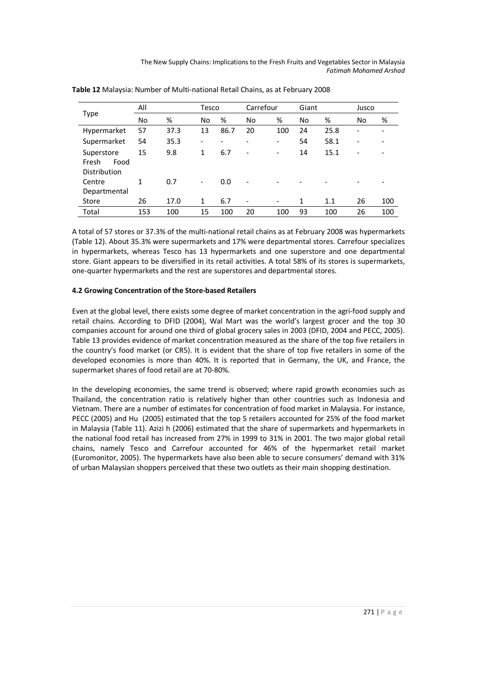|                               | All |      |                          | Tesco |           | Carrefour                    |    | Giant |           | Jusco |  |
|-------------------------------|-----|------|--------------------------|-------|-----------|------------------------------|----|-------|-----------|-------|--|
| Type                          | No. | %    | No.                      | %     | <b>No</b> | %                            | No | %     | <b>No</b> | %     |  |
| Hypermarket                   | 57  | 37.3 | 13                       | 86.7  | 20        | 100                          | 24 | 25.8  | ۰         |       |  |
| Supermarket                   | 54  | 35.3 | ۳                        |       |           | $\qquad \qquad \blacksquare$ | 54 | 58.1  | ۰         |       |  |
| Superstore                    | 15  | 9.8  | 1                        | 6.7   | ٠         | $\overline{\phantom{0}}$     | 14 | 15.1  |           |       |  |
| Fresh<br>Food<br>Distribution |     |      |                          |       |           |                              |    |       |           |       |  |
| Centre                        | 1   | 0.7  | $\overline{\phantom{a}}$ | 0.0   | ٠         |                              |    |       |           |       |  |
| Departmental                  |     |      |                          |       |           |                              |    |       |           |       |  |
| Store                         | 26  | 17.0 | 1                        | 6.7   |           | $\overline{\phantom{a}}$     | 1  | 1.1   | 26        | 100   |  |
| Total                         | 153 | 100  | 15                       | 100   | 20        | 100                          | 93 | 100   | 26        | 100   |  |

**Table 12** Malaysia: Number of Multi-national Retail Chains, as at February 2008

A total of 57 stores or 37.3% of the multi-national retail chains as at February 2008 was hypermarkets (Table 12). About 35.3% were supermarkets and 17% were departmental stores. Carrefour specializes in hypermarkets, whereas Tesco has 13 hypermarkets and one superstore and one departmental store. Giant appears to be diversified in its retail activities. A total 58% of its stores is supermarkets, one-quarter hypermarkets and the rest are superstores and departmental stores.

## **4.2 Growing Concentration of the Store-based Retailers**

Even at the global level, there exists some degree of market concentration in the agri-food supply and retail chains. According to DFID (2004), Wal Mart was the world's largest grocer and the top 30 companies account for around one third of global grocery sales in 2003 (DFID, 2004 and PECC, 2005). Table 13 provides evidence of market concentration measured as the share of the top five retailers in the country's food market (or CR5). It is evident that the share of top five retailers in some of the developed economies is more than 40%. It is reported that in Germany, the UK, and France, the supermarket shares of food retail are at 70-80%.

In the developing economies, the same trend is observed; where rapid growth economies such as Thailand, the concentration ratio is relatively higher than other countries such as Indonesia and Vietnam. There are a number of estimates for concentration of food market in Malaysia. For instance, PECC (2005) and Hu (2005) estimated that the top 5 retailers accounted for 25% of the food market in Malaysia (Table 11). Azizi h (2006) estimated that the share of supermarkets and hypermarkets in the national food retail has increased from 27% in 1999 to 31% in 2001. The two major global retail chains, namely Tesco and Carrefour accounted for 46% of the hypermarket retail market (Euromonitor, 2005). The hypermarkets have also been able to secure consumers' demand with 31% of urban Malaysian shoppers perceived that these two outlets as their main shopping destination.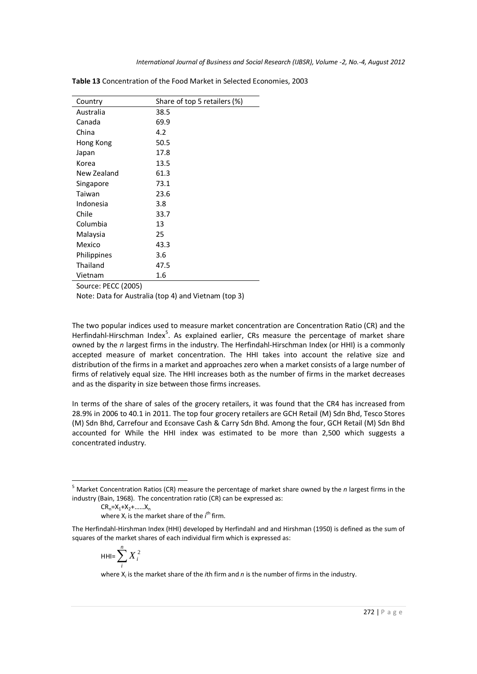| Country     | Share of top 5 retailers (%) |
|-------------|------------------------------|
| Australia   | 38.5                         |
| Canada      | 69.9                         |
| China       | 4.2                          |
| Hong Kong   | 50.5                         |
| Japan       | 17.8                         |
| Korea       | 13.5                         |
| New Zealand | 61.3                         |
| Singapore   | 73.1                         |
| Taiwan      | 23.6                         |
| Indonesia   | 3.8                          |
| Chile       | 33.7                         |
| Columbia    | 13                           |
| Malaysia    | 25                           |
| Mexico      | 43.3                         |
| Philippines | 3.6                          |
| Thailand    | 47.5                         |
| Vietnam     | 1.6                          |

**Table 13** Concentration of the Food Market in Selected Economies, 2003

Source: PECC (2005)

Note: Data for Australia (top 4) and Vietnam (top 3)

The two popular indices used to measure market concentration are Concentration Ratio (CR) and the Herfindahl-Hirschman Index<sup>[5](#page-17-0)</sup>. As explained earlier, CRs measure the percentage of market share owned by the *n* largest firms in the industry. The Herfindahl-Hirschman Index (or HHI) is a commonly accepted measure of market concentration. The HHI takes into account the relative size and distribution of the firms in a market and approaches zero when a market consists of a large number of firms of relatively equal size. The HHI increases both as the number of firms in the market decreases and as the disparity in size between those firms increases.

In terms of the share of sales of the grocery retailers, it was found that the CR4 has increased from 28.9% in 2006 to 40.1 in 2011. The top four grocery retailers are GCH Retail (M) Sdn Bhd, Tesco Stores (M) Sdn Bhd, Carrefour and Econsave Cash & Carry Sdn Bhd. Among the four, GCH Retail (M) Sdn Bhd accounted for While the HHI index was estimated to be more than 2,500 which suggests a concentrated industry.

$$
CR_n = X_1 + X_2 + \dots X_n
$$

where  $X_i$  is the market share of the  $i^{\text{th}}$  firm.

The Herfindahl-Hirshman Index (HHI) developed by Herfindahl and and Hirshman (1950) is defined as the sum of squares of the market shares of each individual firm which is expressed as:

$$
\mathsf{H}\mathsf{H}\mathsf{H}=\sum_i^n X_i^2
$$

where X*<sup>i</sup>* is the market share of the *i*th firm and *n* is the number of firms in the industry.

<span id="page-17-0"></span><sup>5</sup> Market Concentration Ratios (CR) measure the percentage of market share owned by the *<sup>n</sup>* largest firms in the industry (Bain, 1968). The concentration ratio (CR) can be expressed as: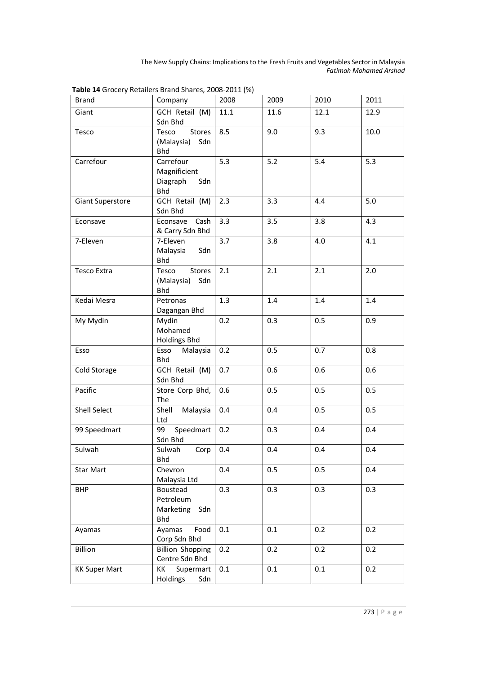| <b>Brand</b>            | Company                                                    | 2008 | 2009 | 2010 | 2011 |
|-------------------------|------------------------------------------------------------|------|------|------|------|
| Giant                   | GCH Retail (M)<br>Sdn Bhd                                  | 11.1 | 11.6 | 12.1 | 12.9 |
| Tesco                   | <b>Stores</b><br>Tesco<br>(Malaysia)<br>Sdn<br>Bhd         | 8.5  | 9.0  | 9.3  | 10.0 |
| Carrefour               | Carrefour<br>Magnificient<br>Diagraph<br>Sdn<br><b>Bhd</b> | 5.3  | 5.2  | 5.4  | 5.3  |
| <b>Giant Superstore</b> | GCH Retail (M)<br>Sdn Bhd                                  | 2.3  | 3.3  | 4.4  | 5.0  |
| Econsave                | Cash<br>Econsave<br>& Carry Sdn Bhd                        | 3.3  | 3.5  | 3.8  | 4.3  |
| 7-Eleven                | 7-Eleven<br>Malaysia<br>Sdn<br><b>Bhd</b>                  | 3.7  | 3.8  | 4.0  | 4.1  |
| <b>Tesco Extra</b>      | Stores<br>Tesco<br>(Malaysia)<br>Sdn<br><b>Bhd</b>         | 2.1  | 2.1  | 2.1  | 2.0  |
| Kedai Mesra             | Petronas<br>Dagangan Bhd                                   | 1.3  | 1.4  | 1.4  | 1.4  |
| My Mydin                | Mydin<br>Mohamed<br><b>Holdings Bhd</b>                    | 0.2  | 0.3  | 0.5  | 0.9  |
| Esso                    | Esso<br>Malaysia<br><b>Bhd</b>                             | 0.2  | 0.5  | 0.7  | 0.8  |
| Cold Storage            | GCH Retail (M)<br>Sdn Bhd                                  | 0.7  | 0.6  | 0.6  | 0.6  |
| Pacific                 | Store Corp Bhd,<br>The                                     | 0.6  | 0.5  | 0.5  | 0.5  |
| Shell Select            | Malaysia<br>Shell<br>Ltd                                   | 0.4  | 0.4  | 0.5  | 0.5  |
| 99 Speedmart            | 99<br>Speedmart<br>Sdn Bhd                                 | 0.2  | 0.3  | 0.4  | 0.4  |
| Sulwah                  | Sulwah<br>Corp<br>Bhd                                      | 0.4  | 0.4  | 0.4  | 0.4  |
| <b>Star Mart</b>        | Chevron<br>Malaysia Ltd                                    | 0.4  | 0.5  | 0.5  | 0.4  |
| <b>BHP</b>              | Boustead<br>Petroleum<br>Marketing<br>Sdn<br>Bhd           | 0.3  | 0.3  | 0.3  | 0.3  |
| Ayamas                  | Food<br>Ayamas<br>Corp Sdn Bhd                             | 0.1  | 0.1  | 0.2  | 0.2  |
| Billion                 | <b>Billion Shopping</b><br>Centre Sdn Bhd                  | 0.2  | 0.2  | 0.2  | 0.2  |
| <b>KK Super Mart</b>    | KK<br>Supermart<br>Holdings<br>Sdn                         | 0.1  | 0.1  | 0.1  | 0.2  |

**Table 14** Grocery Retailers Brand Shares, 2008-2011 (%)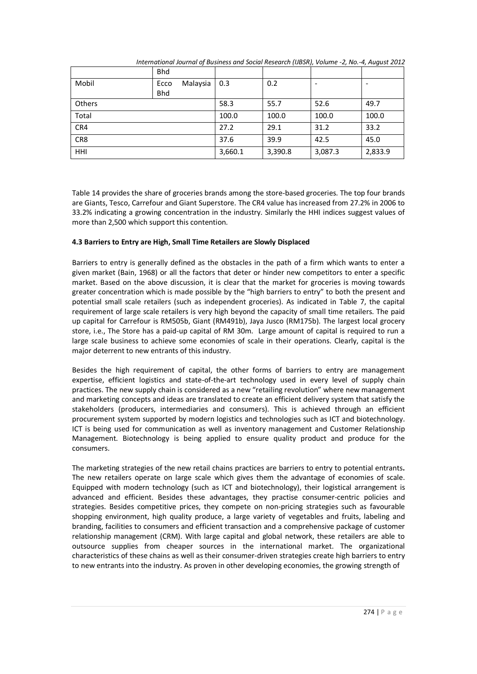|                 | <b>Bhd</b>         |          |         |         |         |         |
|-----------------|--------------------|----------|---------|---------|---------|---------|
| Mobil           | Ecco<br><b>Bhd</b> | Malaysia | 0.3     | 0.2     |         |         |
|                 |                    |          |         |         |         |         |
| Others          |                    |          | 58.3    | 55.7    | 52.6    | 49.7    |
| Total           |                    |          | 100.0   | 100.0   | 100.0   | 100.0   |
| CR4             |                    |          | 27.2    | 29.1    | 31.2    | 33.2    |
| CR <sub>8</sub> |                    |          | 37.6    | 39.9    | 42.5    | 45.0    |
| HHI             |                    |          | 3,660.1 | 3,390.8 | 3,087.3 | 2,833.9 |

*International Journal of Business and Social Research (IJBSR), Volume -2, No.-4, August 2012*

Table 14 provides the share of groceries brands among the store-based groceries. The top four brands are Giants, Tesco, Carrefour and Giant Superstore. The CR4 value has increased from 27.2% in 2006 to 33.2% indicating a growing concentration in the industry. Similarly the HHI indices suggest values of more than 2,500 which support this contention.

# **4.3 Barriers to Entry are High, Small Time Retailers are Slowly Displaced**

Barriers to entry is generally defined as the obstacles in the path of a firm which wants to enter a given market (Bain, 1968) or all the factors that deter or hinder new competitors to enter a specific market. Based on the above discussion, it is clear that the market for groceries is moving towards greater concentration which is made possible by the "high barriers to entry" to both the present and potential small scale retailers (such as independent groceries). As indicated in Table 7, the capital requirement of large scale retailers is very high beyond the capacity of small time retailers. The paid up capital for Carrefour is RM505b, Giant (RM491b), Jaya Jusco (RM175b). The largest local grocery store, i.e., The Store has a paid-up capital of RM 30m. Large amount of capital is required to run a large scale business to achieve some economies of scale in their operations. Clearly, capital is the major deterrent to new entrants of this industry.

Besides the high requirement of capital, the other forms of barriers to entry are management expertise, efficient logistics and state-of-the-art technology used in every level of supply chain practices. The new supply chain is considered as a new "retailing revolution" where new management and marketing concepts and ideas are translated to create an efficient delivery system that satisfy the stakeholders (producers, intermediaries and consumers). This is achieved through an efficient procurement system supported by modern logistics and technologies such as ICT and biotechnology. ICT is being used for communication as well as inventory management and Customer Relationship Management. Biotechnology is being applied to ensure quality product and produce for the consumers.

The marketing strategies of the new retail chains practices are barriers to entry to potential entrants**.** The new retailers operate on large scale which gives them the advantage of economies of scale. Equipped with modern technology (such as ICT and biotechnology), their logistical arrangement is advanced and efficient. Besides these advantages, they practise consumer-centric policies and strategies. Besides competitive prices, they compete on non-pricing strategies such as favourable shopping environment, high quality produce, a large variety of vegetables and fruits, labeling and branding, facilities to consumers and efficient transaction and a comprehensive package of customer relationship management (CRM). With large capital and global network, these retailers are able to outsource supplies from cheaper sources in the international market. The organizational characteristics of these chains as well as their consumer-driven strategies create high barriers to entry to new entrants into the industry. As proven in other developing economies, the growing strength of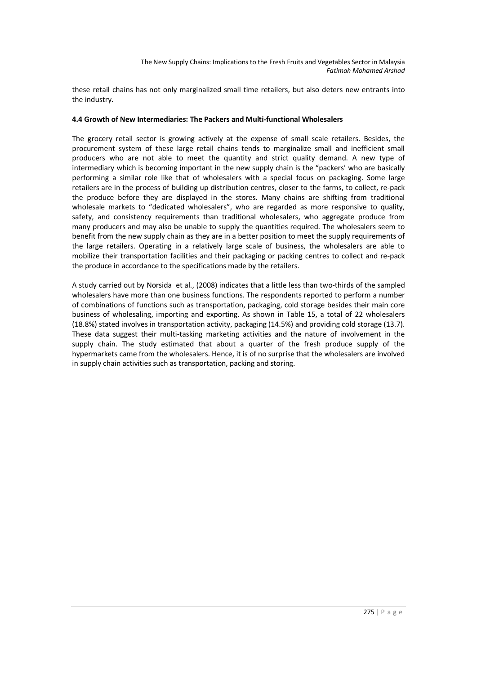these retail chains has not only marginalized small time retailers, but also deters new entrants into the industry.

## **4.4 Growth of New Intermediaries: The Packers and Multi-functional Wholesalers**

The grocery retail sector is growing actively at the expense of small scale retailers. Besides, the procurement system of these large retail chains tends to marginalize small and inefficient small producers who are not able to meet the quantity and strict quality demand. A new type of intermediary which is becoming important in the new supply chain is the "packers' who are basically performing a similar role like that of wholesalers with a special focus on packaging. Some large retailers are in the process of building up distribution centres, closer to the farms, to collect, re-pack the produce before they are displayed in the stores. Many chains are shifting from traditional wholesale markets to "dedicated wholesalers", who are regarded as more responsive to quality, safety, and consistency requirements than traditional wholesalers, who aggregate produce from many producers and may also be unable to supply the quantities required. The wholesalers seem to benefit from the new supply chain as they are in a better position to meet the supply requirements of the large retailers. Operating in a relatively large scale of business, the wholesalers are able to mobilize their transportation facilities and their packaging or packing centres to collect and re-pack the produce in accordance to the specifications made by the retailers.

A study carried out by Norsida et al., (2008) indicates that a little less than two-thirds of the sampled wholesalers have more than one business functions. The respondents reported to perform a number of combinations of functions such as transportation, packaging, cold storage besides their main core business of wholesaling, importing and exporting. As shown in Table 15, a total of 22 wholesalers (18.8%) stated involves in transportation activity, packaging (14.5%) and providing cold storage (13.7). These data suggest their multi-tasking marketing activities and the nature of involvement in the supply chain. The study estimated that about a quarter of the fresh produce supply of the hypermarkets came from the wholesalers. Hence, it is of no surprise that the wholesalers are involved in supply chain activities such as transportation, packing and storing.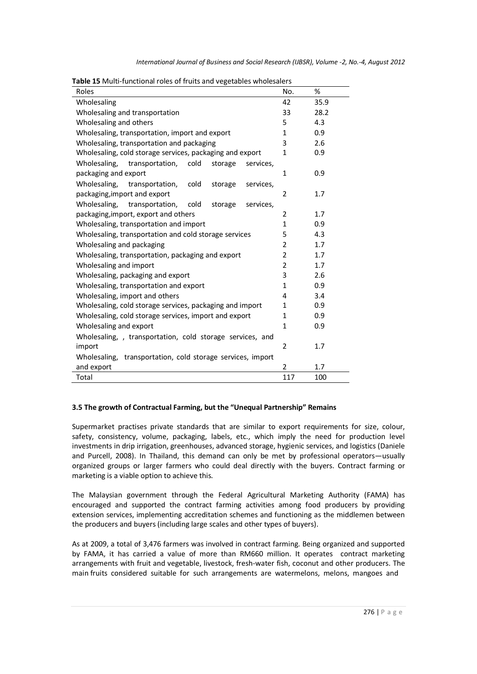| <b>Table 15</b> Multi-functional roles of fruits and vegetables wholesalers |                |      |
|-----------------------------------------------------------------------------|----------------|------|
| Roles                                                                       | No.            | %    |
| Wholesaling                                                                 | 42             | 35.9 |
| Wholesaling and transportation                                              | 33             | 28.2 |
| Wholesaling and others                                                      | 5              | 4.3  |
| Wholesaling, transportation, import and export                              | $\mathbf 1$    | 0.9  |
| Wholesaling, transportation and packaging                                   | 3              | 2.6  |
| Wholesaling, cold storage services, packaging and export                    | $\mathbf{1}$   | 0.9  |
| Wholesaling,<br>transportation,<br>cold<br>services,<br>storage             |                |      |
| packaging and export                                                        | 1              | 0.9  |
| Wholesaling,<br>transportation,<br>cold<br>storage<br>services,             |                |      |
| packaging, import and export                                                | $\overline{2}$ | 1.7  |
| Wholesaling,<br>transportation,<br>cold<br>services,<br>storage             |                |      |
| packaging, import, export and others                                        | 2              | 1.7  |
| Wholesaling, transportation and import                                      | $\mathbf{1}$   | 0.9  |
| Wholesaling, transportation and cold storage services                       | 5              | 4.3  |
| Wholesaling and packaging                                                   | $\overline{2}$ | 1.7  |
| Wholesaling, transportation, packaging and export                           | $\overline{2}$ | 1.7  |
| Wholesaling and import                                                      | $\overline{2}$ | 1.7  |
| Wholesaling, packaging and export                                           | 3              | 2.6  |
| Wholesaling, transportation and export                                      | $\mathbf{1}$   | 0.9  |
| Wholesaling, import and others                                              | 4              | 3.4  |
| Wholesaling, cold storage services, packaging and import                    | $\mathbf{1}$   | 0.9  |
| Wholesaling, cold storage services, import and export                       | $\mathbf{1}$   | 0.9  |
| Wholesaling and export                                                      | $\mathbf{1}$   | 0.9  |
| Wholesaling, , transportation, cold storage services, and                   |                |      |
| import                                                                      | $\overline{2}$ | 1.7  |
| Wholesaling, transportation, cold storage services, import                  |                |      |
| and export                                                                  | $\overline{2}$ | 1.7  |
| Total                                                                       | 117            | 100  |

| Table 15 Multi-functional roles of fruits and vegetables wholesalers |  |
|----------------------------------------------------------------------|--|
|----------------------------------------------------------------------|--|

## **3.5 The growth of Contractual Farming, but the "Unequal Partnership" Remains**

Supermarket practises private standards that are similar to export requirements for size, colour, safety, consistency, volume, packaging, labels, etc., which imply the need for production level investments in drip irrigation, greenhouses, advanced storage, hygienic services, and logistics (Daniele and Purcell, 2008). In Thailand, this demand can only be met by professional operators—usually organized groups or larger farmers who could deal directly with the buyers. Contract farming or marketing is a viable option to achieve this.

The Malaysian government through the Federal Agricultural Marketing Authority (FAMA) has encouraged and supported the contract farming activities among food producers by providing extension services, implementing accreditation schemes and functioning as the middlemen between the producers and buyers (including large scales and other types of buyers).

As at 2009, a total of 3,476 farmers was involved in contract farming. Being organized and supported by FAMA, it has carried a value of more than RM660 million. It operates contract marketing arrangements with fruit and vegetable, livestock, fresh-water fish, coconut and other producers. The main fruits considered suitable for such arrangements are watermelons, melons, mangoes and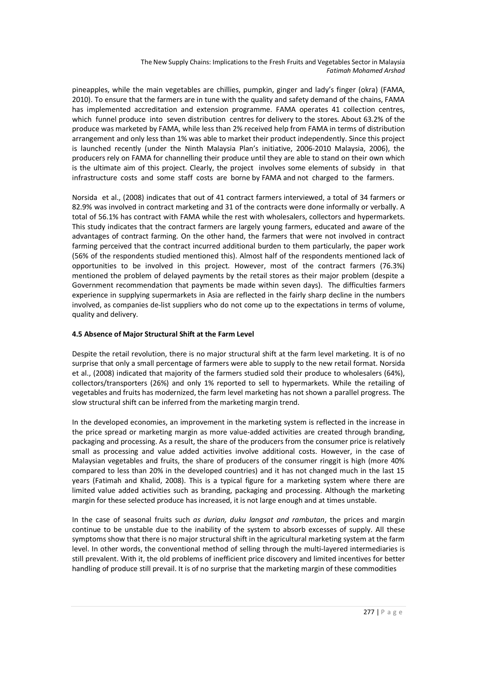pineapples, while the main vegetables are chillies, pumpkin, ginger and lady's finger (okra) (FAMA, 2010). To ensure that the farmers are in tune with the quality and safety demand of the chains, FAMA has implemented accreditation and extension programme. FAMA operates 41 collection centres, which funnel produce into seven distribution centres for delivery to the stores. About 63.2% of the produce was marketed by FAMA, while less than 2% received help from FAMA in terms of distribution arrangement and only less than 1% was able to market their product independently. Since this project is launched recently (under the Ninth Malaysia Plan's initiative, 2006-2010 Malaysia, 2006), the producers rely on FAMA for channelling their produce until they are able to stand on their own which is the ultimate aim of this project. Clearly, the project involves some elements of subsidy in that infrastructure costs and some staff costs are borne by FAMA and not charged to the farmers.

Norsida et al., (2008) indicates that out of 41 contract farmers interviewed, a total of 34 farmers or 82.9% was involved in contract marketing and 31 of the contracts were done informally or verbally. A total of 56.1% has contract with FAMA while the rest with wholesalers, collectors and hypermarkets. This study indicates that the contract farmers are largely young farmers, educated and aware of the advantages of contract farming. On the other hand, the farmers that were not involved in contract farming perceived that the contract incurred additional burden to them particularly, the paper work (56% of the respondents studied mentioned this). Almost half of the respondents mentioned lack of opportunities to be involved in this project. However, most of the contract farmers (76.3%) mentioned the problem of delayed payments by the retail stores as their major problem (despite a Government recommendation that payments be made within seven days). The difficulties farmers experience in supplying supermarkets in Asia are reflected in the fairly sharp decline in the numbers involved, as companies de-list suppliers who do not come up to the expectations in terms of volume, quality and delivery.

# **4.5 Absence of Major Structural Shift at the Farm Level**

Despite the retail revolution, there is no major structural shift at the farm level marketing. It is of no surprise that only a small percentage of farmers were able to supply to the new retail format. Norsida et al., (2008) indicated that majority of the farmers studied sold their produce to wholesalers (64%), collectors/transporters (26%) and only 1% reported to sell to hypermarkets. While the retailing of vegetables and fruits has modernized, the farm level marketing has not shown a parallel progress. The slow structural shift can be inferred from the marketing margin trend.

In the developed economies, an improvement in the marketing system is reflected in the increase in the price spread or marketing margin as more value-added activities are created through branding, packaging and processing. As a result, the share of the producers from the consumer price is relatively small as processing and value added activities involve additional costs. However, in the case of Malaysian vegetables and fruits, the share of producers of the consumer ringgit is high (more 40% compared to less than 20% in the developed countries) and it has not changed much in the last 15 years (Fatimah and Khalid, 2008). This is a typical figure for a marketing system where there are limited value added activities such as branding, packaging and processing. Although the marketing margin for these selected produce has increased, it is not large enough and at times unstable.

In the case of seasonal fruits such *as durian, duku langsat and rambutan*, the prices and margin continue to be unstable due to the inability of the system to absorb excesses of supply. All these symptoms show that there is no major structural shift in the agricultural marketing system at the farm level. In other words, the conventional method of selling through the multi-layered intermediaries is still prevalent. With it, the old problems of inefficient price discovery and limited incentives for better handling of produce still prevail. It is of no surprise that the marketing margin of these commodities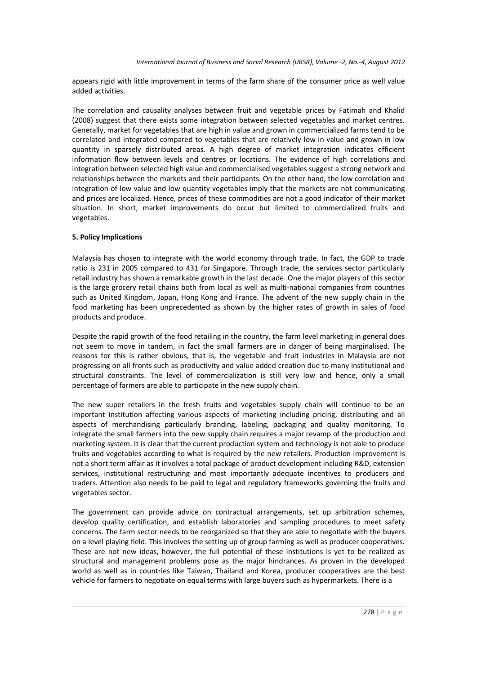appears rigid with little improvement in terms of the farm share of the consumer price as well value added activities.

The correlation and causality analyses between fruit and vegetable prices by Fatimah and Khalid (2008) suggest that there exists some integration between selected vegetables and market centres. Generally, market for vegetables that are high in value and grown in commercialized farms tend to be correlated and integrated compared to vegetables that are relatively low in value and grown in low quantity in sparsely distributed areas. A high degree of market integration indicates efficient information flow between levels and centres or locations. The evidence of high correlations and integration between selected high value and commercialised vegetables suggest a strong network and relationships between the markets and their participants. On the other hand, the low correlation and integration of low value and low quantity vegetables imply that the markets are not communicating and prices are localized. Hence, prices of these commodities are not a good indicator of their market situation. In short, market improvements do occur but limited to commercialized fruits and vegetables.

## **5. Policy Implications**

Malaysia has chosen to integrate with the world economy through trade. In fact, the GDP to trade ratio is 231 in 2005 compared to 431 for Singapore. Through trade, the services sector particularly retail industry has shown a remarkable growth in the last decade. One the major players of this sector is the large grocery retail chains both from local as well as multi-national companies from countries such as United Kingdom, Japan, Hong Kong and France. The advent of the new supply chain in the food marketing has been unprecedented as shown by the higher rates of growth in sales of food products and produce.

Despite the rapid growth of the food retailing in the country, the farm level marketing in general does not seem to move in tandem, in fact the small farmers are in danger of being marginalised. The reasons for this is rather obvious, that is, the vegetable and fruit industries in Malaysia are not progressing on all fronts such as productivity and value added creation due to many institutional and structural constraints. The level of commercialization is still very low and hence, only a small percentage of farmers are able to participate in the new supply chain.

The new super retailers in the fresh fruits and vegetables supply chain will continue to be an important institution affecting various aspects of marketing including pricing, distributing and all aspects of merchandising particularly branding, labeling, packaging and quality monitoring. To integrate the small farmers into the new supply chain requires a major revamp of the production and marketing system. It is clear that the current production system and technology is not able to produce fruits and vegetables according to what is required by the new retailers. Production improvement is not a short term affair as it involves a total package of product development including R&D, extension services, institutional restructuring and most importantly adequate incentives to producers and traders. Attention also needs to be paid to legal and regulatory frameworks governing the fruits and vegetables sector.

The government can provide advice on contractual arrangements, set up arbitration schemes, develop quality certification, and establish laboratories and sampling procedures to meet safety concerns. The farm sector needs to be reorganized so that they are able to negotiate with the buyers on a level playing field. This involves the setting up of group farming as well as producer cooperatives. These are not new ideas, however, the full potential of these institutions is yet to be realized as structural and management problems pose as the major hindrances. As proven in the developed world as well as in countries like Taiwan, Thailand and Korea, producer cooperatives are the best vehicle for farmers to negotiate on equal terms with large buyers such as hypermarkets. There is a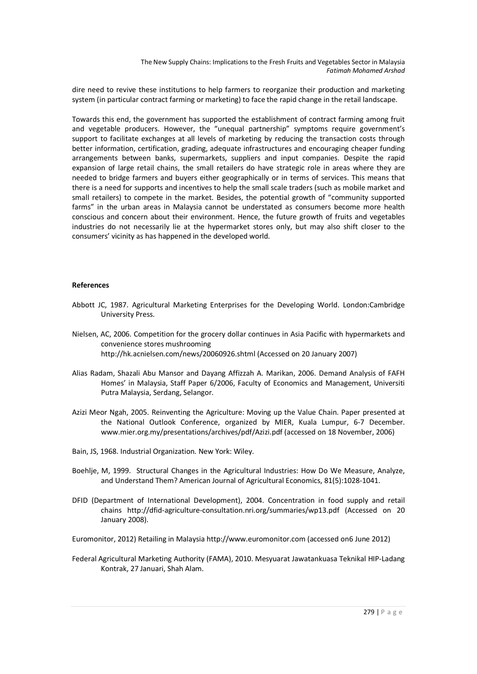dire need to revive these institutions to help farmers to reorganize their production and marketing system (in particular contract farming or marketing) to face the rapid change in the retail landscape.

Towards this end, the government has supported the establishment of contract farming among fruit and vegetable producers. However, the "unequal partnership" symptoms require government's support to facilitate exchanges at all levels of marketing by reducing the transaction costs through better information, certification, grading, adequate infrastructures and encouraging cheaper funding arrangements between banks, supermarkets, suppliers and input companies. Despite the rapid expansion of large retail chains, the small retailers do have strategic role in areas where they are needed to bridge farmers and buyers either geographically or in terms of services. This means that there is a need for supports and incentives to help the small scale traders (such as mobile market and small retailers) to compete in the market. Besides, the potential growth of "community supported farms" in the urban areas in Malaysia cannot be understated as consumers become more health conscious and concern about their environment. Hence, the future growth of fruits and vegetables industries do not necessarily lie at the hypermarket stores only, but may also shift closer to the consumers' vicinity as has happened in the developed world.

#### **References**

- Abbott JC, 1987. Agricultural Marketing Enterprises for the Developing World. London:Cambridge University Press.
- Nielsen, AC, 2006. Competition for the grocery dollar continues in Asia Pacific with hypermarkets and convenience stores mushrooming <http://hk.acnielsen.com/news/20060926.shtml> (Accessed on 20 January 2007)
- Alias Radam, Shazali Abu Mansor and Dayang Affizzah A. Marikan, 2006. Demand Analysis of FAFH Homes' in Malaysia, Staff Paper 6/2006, Faculty of Economics and Management, Universiti Putra Malaysia, Serdang, Selangor.
- Azizi Meor Ngah, 2005. Reinventing the Agriculture: Moving up the Value Chain. Paper presented at the National Outlook Conference, organized by MIER, Kuala Lumpur, 6-7 December. [www.mier.org.my/presentations/archives/pdf/Azizi.pdf](http://www.mier.org.my/presentations/archives/pdf/Azizi.pdf) (accessed on 18 November, 2006)
- Bain, JS, 1968. Industrial Organization. New York: Wiley.
- Boehlje, M, 1999. Structural Changes in the Agricultural Industries: How Do We Measure, Analyze, and Understand Them? American Journal of Agricultural Economics, 81(5):1028-1041.
- DFID (Department of International Development), 2004. Concentration in food supply and retail chains http://dfid-agriculture-consultation.nri.org/summaries/wp13.pdf (Accessed on 20 January 2008).
- Euromonitor, 2012) Retailing in Malaysia http://www.euromonitor.com (accessed on6 June 2012)
- Federal Agricultural Marketing Authority (FAMA), 2010. Mesyuarat Jawatankuasa Teknikal HIP-Ladang Kontrak, 27 Januari, Shah Alam.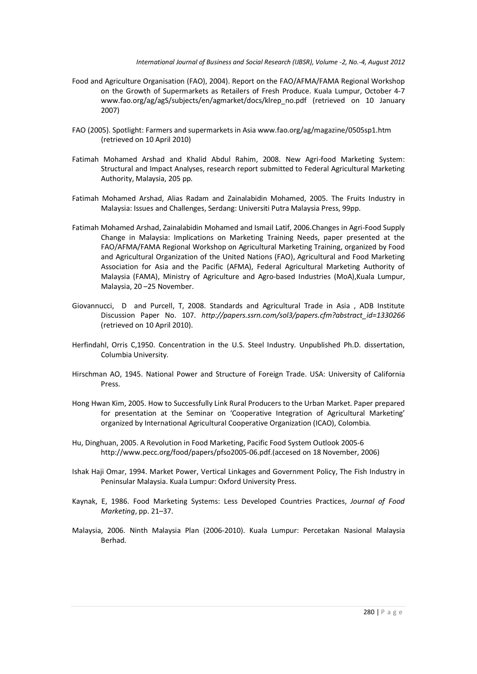*International Journal of Business and Social Research (IJBSR), Volume -2, No.-4, August 2012*

- Food and Agriculture Organisation (FAO), 2004). Report on the FAO/AFMA/FAMA Regional Workshop on the Growth of Supermarkets as Retailers of Fresh Produce. Kuala Lumpur, October 4-7 [www.fao.org/ag/agS/subjects/en/agmarket/docs/klrep\\_no.pdf](http://www.fao.org/ag/agS/subjects/en/agmarket/docs/klrep_no.pdf) (retrieved on 10 January 2007)
- FAO (2005)[. Spotlight: Farmers and supermarkets in Asia](http://www.fao.org/ag/magazine/0505sp1.htm) [www.fao.org/ag/magazine/0505sp1.htm](http://www.fao.org/ag/magazine/0505sp1.htm) (retrieved on 10 April 2010)
- Fatimah Mohamed Arshad and Khalid Abdul Rahim, 2008. New Agri-food Marketing System: Structural and Impact Analyses, research report submitted to Federal Agricultural Marketing Authority, Malaysia, 205 pp.
- Fatimah Mohamed Arshad, Alias Radam and Zainalabidin Mohamed, 2005. The Fruits Industry in Malaysia: Issues and Challenges, Serdang: Universiti Putra Malaysia Press, 99pp.
- Fatimah Mohamed Arshad, Zainalabidin Mohamed and Ismail Latif, 2006.Changes in Agri-Food Supply Change in Malaysia: Implications on Marketing Training Needs, paper presented at the FAO/AFMA/FAMA Regional Workshop on Agricultural Marketing Training, organized by Food and Agricultural Organization of the United Nations (FAO), Agricultural and Food Marketing Association for Asia and the Pacific (AFMA), Federal Agricultural Marketing Authority of Malaysia (FAMA), Ministry of Agriculture and Agro-based Industries (MoA),Kuala Lumpur, Malaysia, 20 –25 November.
- [Giovannucci, D and Purcell, T,](http://papers.ssrn.com/sol3/cf_dev/AbsByAuth.cfm?per_id=433838) 2008. Standards and Agricultural Trade in Asia , ADB Institute Discussion Paper No. 107. *http://papers.ssrn.com/sol3/papers.cfm?abstract\_id=1330266* (retrieved on 10 April 2010).
- Herfindahl, Orris C,1950. Concentration in the U.S. Steel Industry. Unpublished Ph.D. dissertation, Columbia University.
- Hirschman AO, 1945. National Power and Structure of Foreign Trade. USA: University of California Press.
- Hong Hwan Kim, 2005. How to Successfully Link Rural Producers to the Urban Market. Paper prepared for presentation at the Seminar on 'Cooperative Integration of Agricultural Marketing' organized by International Agricultural Cooperative Organization (ICAO), Colombia.
- Hu, Dinghuan, 2005. A Revolution in Food Marketing, Pacific Food System Outlook 2005-6 [http://www.pecc.org/food/papers/pfso2005-06.pdf.\(accesed](http://www.pecc.org/food/papers/pfso2005-06.pdf.(accesed) on 18 November, 2006)
- Ishak Haji Omar, 1994. Market Power, Vertical Linkages and Government Policy, The Fish Industry in Peninsular Malaysia. Kuala Lumpur: Oxford University Press.
- Kaynak, E, 1986. Food Marketing Systems: Less Developed Countries Practices, *Journal of Food Marketing*, pp. 21–37.
- Malaysia, 2006. Ninth Malaysia Plan (2006-2010). Kuala Lumpur: Percetakan Nasional Malaysia Berhad.